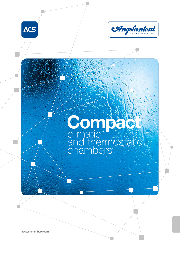



### climatic and thermostatic chambers **Compact**

acstestchambers.com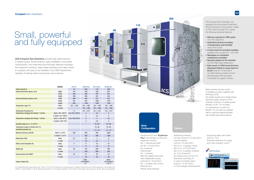1. for Temperature only version add the suffix T - 2.  $t = +4^{\circ}C/+93^{\circ}C$  for continuous test - 3. measured at 1 m distance in front of the unit, free field measurement - 4. according to IEC 60068-3-5 and IEC 60068-3-6 - 5. The performance data refer to +22°C ambient temperature, 230V or 400V nominal voltage, without specimen - 6. value without supporting table

# **Basic Configuration**

**Acc** 

#### - Control by PLC and "KeyKratos

- Supporting table with wheel (only for 110 l)
- Software Winkratos for single and multi-chamber control



ACS Compact Test Chambers provide high performances in limited space. Small footprint, easy installation, low power consumption, low noise level and full basic features including the inspection window, make these chambers the ideal choice. A compact unit easy to be installed in any R&D Department capable of testing small components and products.

## Small, powerful and fully equipped

- **Plus**" touchscreen on the door
- Inspection window
- No. 1 internal grid shelf (for 60, 110 and 200 l)
- Air condenser
- Internal light
- No. 1 porthole
- Min/max digital thermostat
- with independent probe
- (optional for 16 and 60 l) - No. 1 auxiliary free contact
- Ethernet port
- 

### **Options**

|                                                         | <b>MODEL</b>               | <b>DY16 T</b>             | <b>DY60 T(C)</b>                       | DY110 (C) <sup>1</sup> | DY200 (C) <sup>1</sup>            |
|---------------------------------------------------------|----------------------------|---------------------------|----------------------------------------|------------------------|-----------------------------------|
| Useful capacity (I)                                     |                            | 16                        | 59,5                                   | 110                    | 206                               |
| Internal dimensions approx. (mm)                        | Width                      | 310                       | 350                                    | 548                    | 601                               |
|                                                         | Depth                      | 230                       | 340                                    | 447                    | 541                               |
|                                                         | Height                     | 206                       | 500                                    | 447                    | 634                               |
| External dimensions approx. (mm)                        | Width                      | 465                       | 630                                    | 877                    | 927                               |
|                                                         | Depth                      | 541                       | 970                                    | 1080                   | 1379                              |
|                                                         | Height                     | 685                       | 1180                                   | 1434                   | 1794                              |
| Temperature range (°C)                                  | Basic                      | $-35+130$                 | $-40+180$                              | $-40+180$              | $-40+180$                         |
|                                                         | C model                    |                           | $-70+180$                              | $-70+180$              | $-70+180$                         |
| Temperature fluctuation (K)                             |                            | ±1                        | ±0.1±0.3                               | ±0.1±0.3               | ±0.1±0.3                          |
| Temperature changing rate Heating 4+5 (K/min)           | Basic (-40/+180°C)         | $4.5 (-35/+130^{\circ}C)$ | 3                                      | 3,2                    | $\overline{4}$                    |
|                                                         | C model $(-70/+180°C)$     |                           | 3                                      | 3,2                    | 4                                 |
| Temperature changing rate Cooling 4+5 (K/min)           | Basic (+180/-40°C)         | $3.5 (+130/-35°C)$        | 3                                      | 4                      | 4,5                               |
|                                                         | C model $(+180/-70°C)$     |                           | 3                                      | 2,8                    | 3                                 |
| Humidity range (%) $(\tau = -3/0.93^{\circ}\text{C})^2$ |                            |                           |                                        | 1095                   | 1095                              |
| Temperature range for climatic test (°C)                |                            |                           |                                        | 1095                   | 1095                              |
| Humidity fluctuation (%)                                |                            |                           |                                        | ±1±3                   | ±1±3                              |
| Maximum thermal Load (W) 5                              | Basic $T = +25^{\circ}C$   | 250                       | 250                                    | 350                    | 2300                              |
|                                                         | C model $T = +25^{\circ}C$ |                           | 250                                    | 500                    | 1500                              |
| Rated power (kW)                                        | Basic                      | 0,7                       | 2,0                                    | 3                      | 6                                 |
|                                                         | C model                    |                           | 2,3                                    | 3,7                    | $\overline{7}$                    |
| Rated current absorption (A)                            | Basic                      | $\overline{4}$            | 9                                      | 16                     | 10                                |
|                                                         | C model                    |                           | 11                                     | 16                     | 12                                |
| Weight (kg)                                             | Basic                      | 60                        | 210                                    | 350 <sup>6</sup>       | 485                               |
|                                                         | C model                    |                           | 230                                    | 3606                   | 545                               |
| Sound pressure level dB(A) 3                            | Basic                      | 52                        | 57                                     | 52                     | 53                                |
|                                                         | C model                    |                           | 59                                     | 52                     | 59                                |
| Supply voltage (Vac)                                    |                            |                           | <b>230V</b><br>$±10\%/50$ Hz/1<br>$+G$ |                        | 400V<br>$±10\%/50$ Hz/3<br>+ N+ G |

- Additional portholes
- UV lamp (only for 110 and 200 l)
- Internal shelves
- (only for 110 and 200 l)
- Set of no. 4 analogic inputs
- Set of no. 4 PT100 inputs
- Set of no. 8 auxiliary contacts
- (no. 2 for 16 and 60 l)
- No break power unit for PLC - Specimen switching off in case of chamber alarm (only for 110 and 200 l)
- T e RH analogic retransmission
- RS232 serial interface





The Compact Test Chambers are equipped with the powerful KeyKratos Plus touchscreen control system, based on PID control through PLC, having the following advanced features:

- Memory capacity to 1000 cycles with 350 segments.
- Unlimited real time recording of temperature and humidity versus time (LOG).
- A trend chart for recorded variables available with a scale from -100/+200.
- Messages on scheduled maintenance activities.
- Synoptic graphs for the chamber, low and high stage refrigeration.
- Data saved in CSV format (Comma Separated Value) for easy export to Excel<sup>®</sup> (only for 110 and 200 l) via USB interface located on front panel (program files are easily convertible into graphic format).

Multi-chamber remote control is available as option together with WinKratos S/W.

All models require just a single-phase electrical supply, except for 200 l chamber running on 3-phase power. Models 16, 60, 110 I fit easily on a laboratory's counter top. Model 110 l can also be supplied with an optional supporting table with wheels (see picture above).

16

60

110

**ACS** 

 $\bullet$ 

200